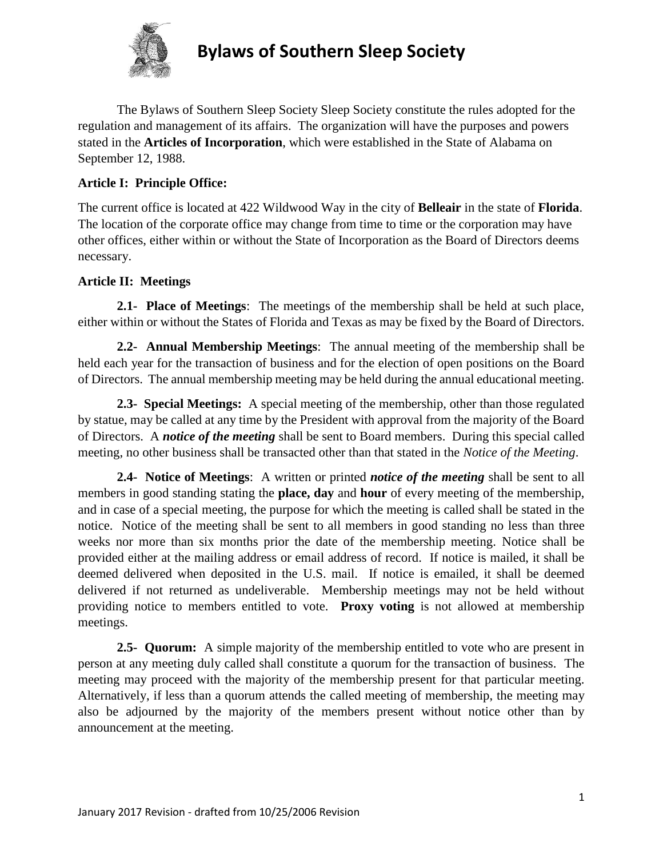

The Bylaws of Southern Sleep Society Sleep Society constitute the rules adopted for the regulation and management of its affairs. The organization will have the purposes and powers stated in the **Articles of Incorporation**, which were established in the State of Alabama on September 12, 1988.

## **Article I: Principle Office:**

The current office is located at 422 Wildwood Way in the city of **Belleair** in the state of **Florida**. The location of the corporate office may change from time to time or the corporation may have other offices, either within or without the State of Incorporation as the Board of Directors deems necessary.

## **Article II: Meetings**

**2.1- Place of Meetings**: The meetings of the membership shall be held at such place, either within or without the States of Florida and Texas as may be fixed by the Board of Directors.

**2.2- Annual Membership Meetings**: The annual meeting of the membership shall be held each year for the transaction of business and for the election of open positions on the Board of Directors. The annual membership meeting may be held during the annual educational meeting.

**2.3- Special Meetings:** A special meeting of the membership, other than those regulated by statue, may be called at any time by the President with approval from the majority of the Board of Directors. A *notice of the meeting* shall be sent to Board members. During this special called meeting, no other business shall be transacted other than that stated in the *Notice of the Meeting*.

**2.4- Notice of Meetings**: A written or printed *notice of the meeting* shall be sent to all members in good standing stating the **place, day** and **hour** of every meeting of the membership, and in case of a special meeting, the purpose for which the meeting is called shall be stated in the notice. Notice of the meeting shall be sent to all members in good standing no less than three weeks nor more than six months prior the date of the membership meeting. Notice shall be provided either at the mailing address or email address of record. If notice is mailed, it shall be deemed delivered when deposited in the U.S. mail. If notice is emailed, it shall be deemed delivered if not returned as undeliverable. Membership meetings may not be held without providing notice to members entitled to vote. **Proxy voting** is not allowed at membership meetings.

**2.5- Quorum:** A simple majority of the membership entitled to vote who are present in person at any meeting duly called shall constitute a quorum for the transaction of business. The meeting may proceed with the majority of the membership present for that particular meeting. Alternatively, if less than a quorum attends the called meeting of membership, the meeting may also be adjourned by the majority of the members present without notice other than by announcement at the meeting.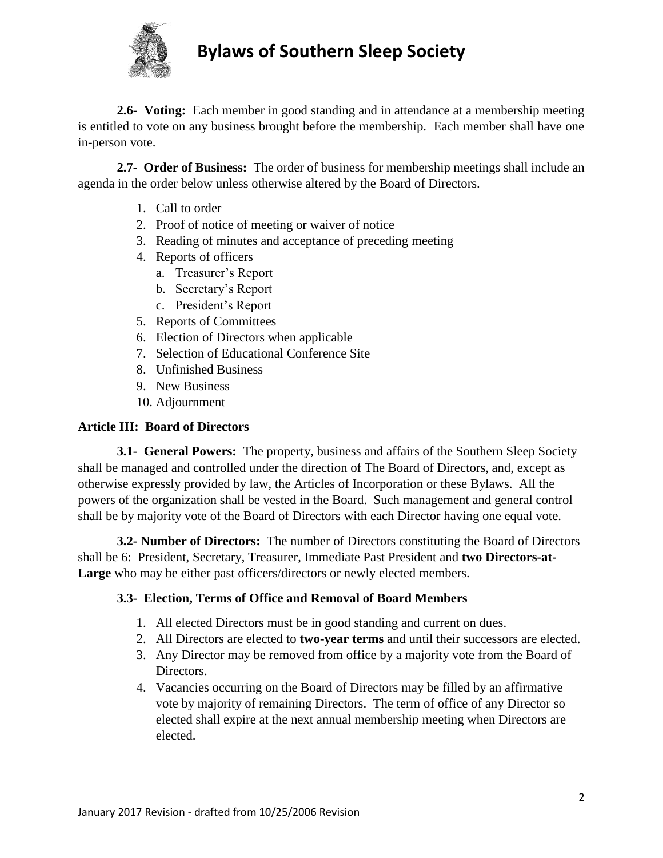

**2.6- Voting:** Each member in good standing and in attendance at a membership meeting is entitled to vote on any business brought before the membership. Each member shall have one in-person vote.

**2.7- Order of Business:** The order of business for membership meetings shall include an agenda in the order below unless otherwise altered by the Board of Directors.

- 1. Call to order
- 2. Proof of notice of meeting or waiver of notice
- 3. Reading of minutes and acceptance of preceding meeting
- 4. Reports of officers
	- a. Treasurer's Report
	- b. Secretary's Report
	- c. President's Report
- 5. Reports of Committees
- 6. Election of Directors when applicable
- 7. Selection of Educational Conference Site
- 8. Unfinished Business
- 9. New Business
- 10. Adjournment

### **Article III: Board of Directors**

**3.1- General Powers:** The property, business and affairs of the Southern Sleep Society shall be managed and controlled under the direction of The Board of Directors, and, except as otherwise expressly provided by law, the Articles of Incorporation or these Bylaws. All the powers of the organization shall be vested in the Board. Such management and general control shall be by majority vote of the Board of Directors with each Director having one equal vote.

**3.2- Number of Directors:** The number of Directors constituting the Board of Directors shall be 6: President, Secretary, Treasurer, Immediate Past President and **two Directors-at-**Large who may be either past officers/directors or newly elected members.

### **3.3- Election, Terms of Office and Removal of Board Members**

- 1. All elected Directors must be in good standing and current on dues.
- 2. All Directors are elected to **two-year terms** and until their successors are elected.
- 3. Any Director may be removed from office by a majority vote from the Board of Directors.
- 4. Vacancies occurring on the Board of Directors may be filled by an affirmative vote by majority of remaining Directors. The term of office of any Director so elected shall expire at the next annual membership meeting when Directors are elected.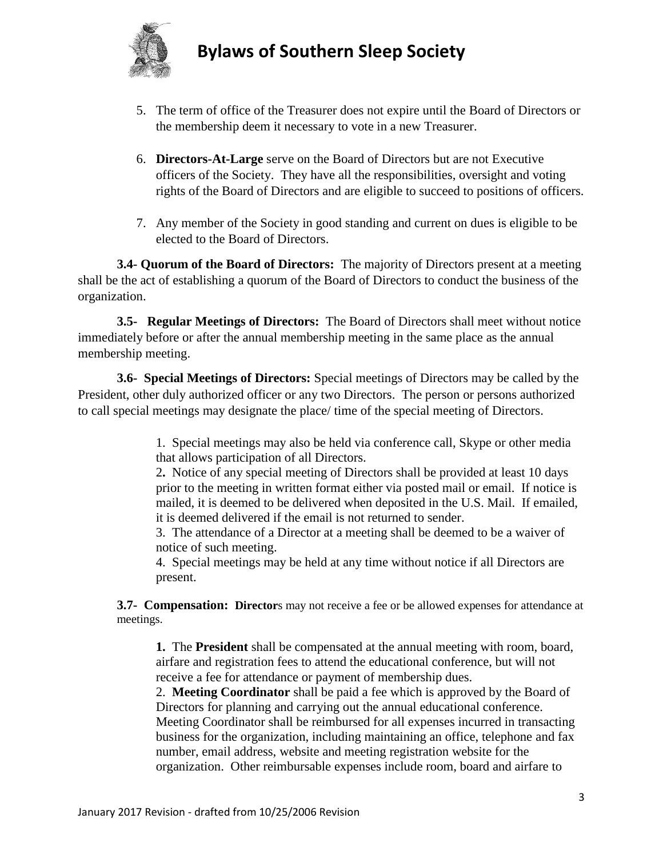

- 5. The term of office of the Treasurer does not expire until the Board of Directors or the membership deem it necessary to vote in a new Treasurer.
- 6. **Directors-At-Large** serve on the Board of Directors but are not Executive officers of the Society. They have all the responsibilities, oversight and voting rights of the Board of Directors and are eligible to succeed to positions of officers.
- 7. Any member of the Society in good standing and current on dues is eligible to be elected to the Board of Directors.

**3.4- Quorum of the Board of Directors:** The majority of Directors present at a meeting shall be the act of establishing a quorum of the Board of Directors to conduct the business of the organization.

**3.5- Regular Meetings of Directors:** The Board of Directors shall meet without notice immediately before or after the annual membership meeting in the same place as the annual membership meeting.

**3.6- Special Meetings of Directors:** Special meetings of Directors may be called by the President, other duly authorized officer or any two Directors. The person or persons authorized to call special meetings may designate the place/ time of the special meeting of Directors.

> 1. Special meetings may also be held via conference call, Skype or other media that allows participation of all Directors.

2**.** Notice of any special meeting of Directors shall be provided at least 10 days prior to the meeting in written format either via posted mail or email. If notice is mailed, it is deemed to be delivered when deposited in the U.S. Mail. If emailed, it is deemed delivered if the email is not returned to sender.

3. The attendance of a Director at a meeting shall be deemed to be a waiver of notice of such meeting.

4. Special meetings may be held at any time without notice if all Directors are present.

**3.7- Compensation: Director**s may not receive a fee or be allowed expenses for attendance at meetings.

**1.** The **President** shall be compensated at the annual meeting with room, board, airfare and registration fees to attend the educational conference, but will not receive a fee for attendance or payment of membership dues.

2. **Meeting Coordinator** shall be paid a fee which is approved by the Board of Directors for planning and carrying out the annual educational conference. Meeting Coordinator shall be reimbursed for all expenses incurred in transacting business for the organization, including maintaining an office, telephone and fax number, email address, website and meeting registration website for the organization. Other reimbursable expenses include room, board and airfare to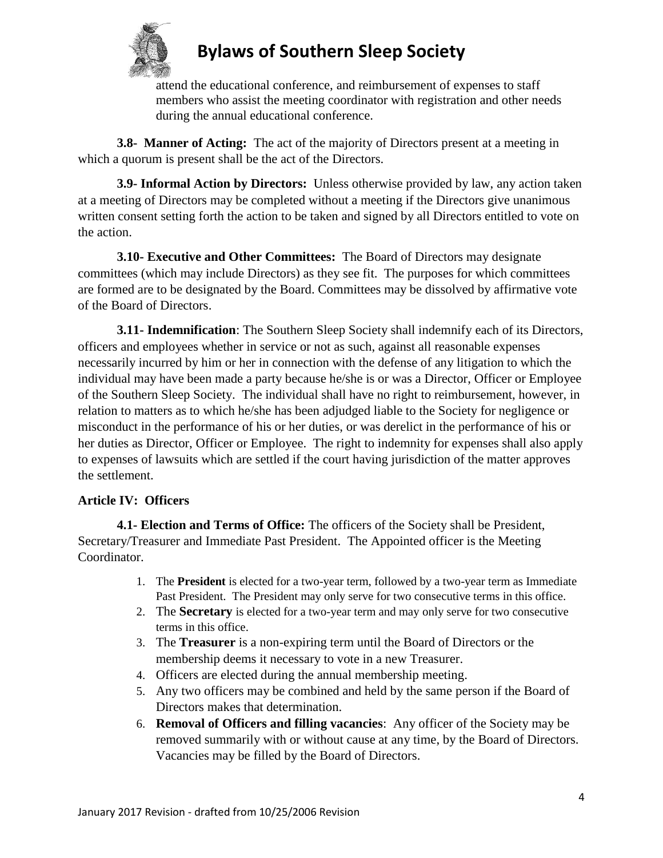

attend the educational conference, and reimbursement of expenses to staff members who assist the meeting coordinator with registration and other needs during the annual educational conference.

**3.8- Manner of Acting:** The act of the majority of Directors present at a meeting in which a quorum is present shall be the act of the Directors.

**3.9- Informal Action by Directors:** Unless otherwise provided by law, any action taken at a meeting of Directors may be completed without a meeting if the Directors give unanimous written consent setting forth the action to be taken and signed by all Directors entitled to vote on the action.

**3.10- Executive and Other Committees:** The Board of Directors may designate committees (which may include Directors) as they see fit. The purposes for which committees are formed are to be designated by the Board. Committees may be dissolved by affirmative vote of the Board of Directors.

**3.11- Indemnification**: The Southern Sleep Society shall indemnify each of its Directors, officers and employees whether in service or not as such, against all reasonable expenses necessarily incurred by him or her in connection with the defense of any litigation to which the individual may have been made a party because he/she is or was a Director, Officer or Employee of the Southern Sleep Society. The individual shall have no right to reimbursement, however, in relation to matters as to which he/she has been adjudged liable to the Society for negligence or misconduct in the performance of his or her duties, or was derelict in the performance of his or her duties as Director, Officer or Employee. The right to indemnity for expenses shall also apply to expenses of lawsuits which are settled if the court having jurisdiction of the matter approves the settlement.

## **Article IV: Officers**

**4.1- Election and Terms of Office:** The officers of the Society shall be President, Secretary/Treasurer and Immediate Past President. The Appointed officer is the Meeting Coordinator.

- 1. The **President** is elected for a two-year term, followed by a two-year term as Immediate Past President. The President may only serve for two consecutive terms in this office.
- 2. The **Secretary** is elected for a two-year term and may only serve for two consecutive terms in this office.
- 3. The **Treasurer** is a non-expiring term until the Board of Directors or the membership deems it necessary to vote in a new Treasurer.
- 4. Officers are elected during the annual membership meeting.
- 5. Any two officers may be combined and held by the same person if the Board of Directors makes that determination.
- 6. **Removal of Officers and filling vacancies**: Any officer of the Society may be removed summarily with or without cause at any time, by the Board of Directors. Vacancies may be filled by the Board of Directors.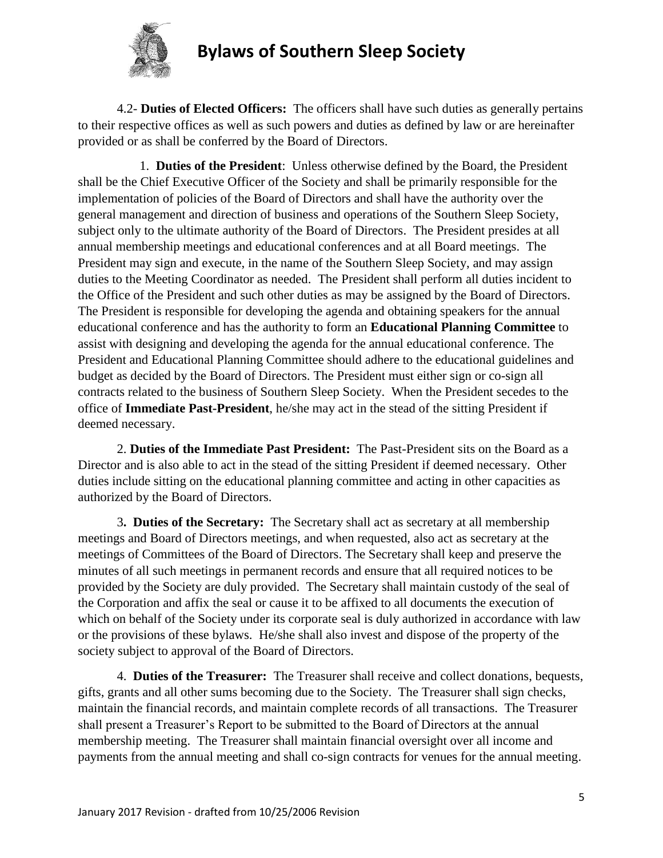

4.2- **Duties of Elected Officers:** The officers shall have such duties as generally pertains to their respective offices as well as such powers and duties as defined by law or are hereinafter provided or as shall be conferred by the Board of Directors.

 1. **Duties of the President**: Unless otherwise defined by the Board, the President shall be the Chief Executive Officer of the Society and shall be primarily responsible for the implementation of policies of the Board of Directors and shall have the authority over the general management and direction of business and operations of the Southern Sleep Society, subject only to the ultimate authority of the Board of Directors. The President presides at all annual membership meetings and educational conferences and at all Board meetings. The President may sign and execute, in the name of the Southern Sleep Society, and may assign duties to the Meeting Coordinator as needed. The President shall perform all duties incident to the Office of the President and such other duties as may be assigned by the Board of Directors. The President is responsible for developing the agenda and obtaining speakers for the annual educational conference and has the authority to form an **Educational Planning Committee** to assist with designing and developing the agenda for the annual educational conference. The President and Educational Planning Committee should adhere to the educational guidelines and budget as decided by the Board of Directors. The President must either sign or co-sign all contracts related to the business of Southern Sleep Society. When the President secedes to the office of **Immediate Past-President**, he/she may act in the stead of the sitting President if deemed necessary.

2. **Duties of the Immediate Past President:** The Past-President sits on the Board as a Director and is also able to act in the stead of the sitting President if deemed necessary. Other duties include sitting on the educational planning committee and acting in other capacities as authorized by the Board of Directors.

3**. Duties of the Secretary:** The Secretary shall act as secretary at all membership meetings and Board of Directors meetings, and when requested, also act as secretary at the meetings of Committees of the Board of Directors. The Secretary shall keep and preserve the minutes of all such meetings in permanent records and ensure that all required notices to be provided by the Society are duly provided. The Secretary shall maintain custody of the seal of the Corporation and affix the seal or cause it to be affixed to all documents the execution of which on behalf of the Society under its corporate seal is duly authorized in accordance with law or the provisions of these bylaws. He/she shall also invest and dispose of the property of the society subject to approval of the Board of Directors.

4. **Duties of the Treasurer:** The Treasurer shall receive and collect donations, bequests, gifts, grants and all other sums becoming due to the Society. The Treasurer shall sign checks, maintain the financial records, and maintain complete records of all transactions. The Treasurer shall present a Treasurer's Report to be submitted to the Board of Directors at the annual membership meeting. The Treasurer shall maintain financial oversight over all income and payments from the annual meeting and shall co-sign contracts for venues for the annual meeting.